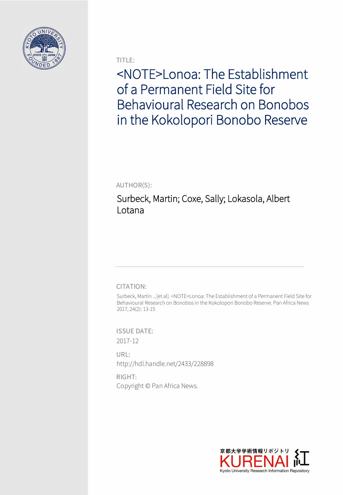

TITLE:

<NOTE>Lonoa: The Establishment of a Permanent Field Site for Behavioural Research on Bonobos in the Kokolopori Bonobo Reserve

AUTHOR(S):

Surbeck, Martin; Coxe, Sally; Lokasola, Albert Lotana

## CITATION:

Surbeck, Martin ...[et al]. <NOTE>Lonoa: The Establishment of a Permanent Field Site for Behavioural Research on Bonobos in the Kokolopori Bonobo Reserve. Pan Africa News 2017, 24(2): 13-15

ISSUE DATE: 2017-12

URL: http://hdl.handle.net/2433/228898

RIGHT: Copyright © Pan Africa News.

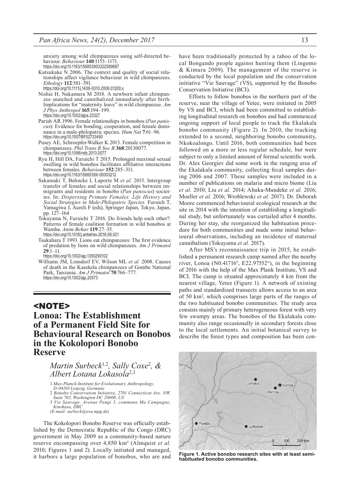anxiety among wild chimpanzees using self-directed behaviour. *Behaviour* **140**:1153–1171. https://doi.org/10.1163/156853903322589687

- Kutsukake N 2006. The context and quality of social rela- tionships affect vigilance behaviour in wild chimpanzees. *Ethology* **112**:581–591.
	- https://doi.org/10.1111/j.1439-0310.2006.01200.x
- Nishie H, Nakamura M 2018. A newborn infant chimpanzee snatched and cannibalized immediately after birth: Implications for "maternity leave" in wild chimpanzee. *Am J Phys Anthropol* **165**:194–199. https://doi.org/10.1002/ajpa.23327
- Parish AR 1996. Female relationships in bonobos (*Pan panis- cus*): Evidence for bonding, cooperation, and female dominance in a male-philopatric species. *Hum Nat* **7**:61–96. https://doi.org/10.1007/BF02733490
- Pusey AE, Schroepfer-Walker K 2013. Female competition in chimpanzees. *Phil Trans R Soc B* **368**:20130077. https://doi.org/10.1098/rstb.2013.0077
- Ryu H, Hill DA, Furuichi T 2015. Prolonged maximal sexual swelling in wild bonobos facilitates affiliative interactions between females. *Behaviour* **152**:285–311. https://doi.org/10.1163/1568539X-00003212
- Sakamaki T, Behncke I, Laporte M *et al.* 2015. Intergroup transfer of females and social relationships between im- migrants and residents in bonobo (*Pan paniscus*) societies. In: *Dispersing Primate Females: Life History and Social Strategies in Male-Philopatric Species.* Furuich T, Yamagiwa J, Aureli F (eds), Springer Japan, Tokyo, Japan, pp. 127–164
- Tokuyama N, Furuichi T 2016. Do friends help each other?: Patterns of female coalition formation in wild bonobos at Wamba. *Anim Behav* **119**:27–35. https://doi.org/10.1016/j.anbehav.2016.06.021
- Tsukahara T 1993. Lions eat chimpanzees: The first evidence of predation by lions on wild chimpanzees. *Am J Primatol*  **29**:1–11.

https://doi.org/10.1002/ajp.1350290102

Williams JM, Lonsdorf EV, Wilson ML *et al.* 2008. Causes of death in the Kasekela chimpanzees of Gombe National Park, Tanzania. *Am J Primatol* **70**:766–777. https://doi.org/10.1002/ajp.20573

## <NOTE>

# **Lonoa: The Establishment of a Permanent Field Site for Behavioural Research on Bonobos in the Kokolopori Bonobo Reserve**

## *Martin Surbeck*1,2*, Sally Coxe*<sup>2</sup> *, & Albert Lotana Lokasola*2,3

- 1 *Max-Planck-Institute for Evolutionary Anthropology,*
- *D-04103 Leipzig, Germany* 2 *Bonobo Conservation Initiative, 2701 Connecticut Ave. NW,*
- *Suite 702, Washington DC 20008, US*
- 3 *Vie Sauvage, Avenue Pangi 5, commune Ma Campagne, Kinshasa, DRC*
- *(E-mail: surbeck@eva.mpg.de)*

The Kokolopori Bonobo Reserve was officially established by the Democratic Republic of the Congo (DRC) government in May 2009 as a community-based nature reserve encompassing over 4,850 km² (Almquist *et al.* 2010; Figures 1 and 2). Locally initiated and managed, it harbors a large population of bonobos, who are and have been traditionally protected by a taboo of the local Bongando people against hunting them (Lingomo & Kimura 2009). The management of the reserve is conducted by the local population and the conservation initiative "Vie Sauvage" (VS), supported by the Bonobo Conservation Initiative (BCI).

Efforts to follow bonobos in the northern part of the reserve, near the village of Yetee, were initiated in 2005 by VS and BCI, which had been committed to establishing longitudinal research on bonobos and had commenced ongoing support of local people to track the Ekalakala bonobo community (Figure 2). In 2010, the tracking extended to a second, neighboring bonobo community, Nkokoalongo. Until 2016, both communities had been followed on a more or less regular schedule, but were subject to only a limited amount of formal scientific work. Dr. Alex Georgiev did some work in the ranging area of the Ekalakala community, collecting fecal samples during 2006 and 2007. These samples were included in a number of publications on malaria and micro biome (Liu *et al.* 2010; Liu *et al.* 2014; Ahuka-Mundeke *et al.* 2016; Moeller *et al.* 2016; Wroblewski *et al.* 2017). Dr. Deborah Moore commenced behavioural ecological research at the site in 2014 with the intention of establishing a longitudinal study, but unfortunately was curtailed after 4 months. During her stay, she reorganized the habituation procedure for both communities and made some initial behavioural observations, including an incidence of maternal cannibalism (Tokuyama *et al.* 2017).

After MS's reconnaissance trip in 2015, he established a permanent research camp named after the nearby river, Lonoa (N0.41716°, E22.97552°), in the beginning of 2016 with the help of the Max Plank Institute, VS and BCI. The camp is situated approximately 4 km from the nearest village, Yetee (Figure 1). A network of existing paths and standardized transects allows access to an area of 50 km², which comprises large parts of the ranges of the two habituated bonobo communities. The study area consists mainly of primary heterogeneous forest with very few swampy areas. The bonobos of the Ekalakala community also range occasionally in secondary forests close to the local settlements. An initial botanical survey to describe the forest types and composition has been con-



**Figure 1. Active bonobo research sites with at least semihabituated bonobo communities.**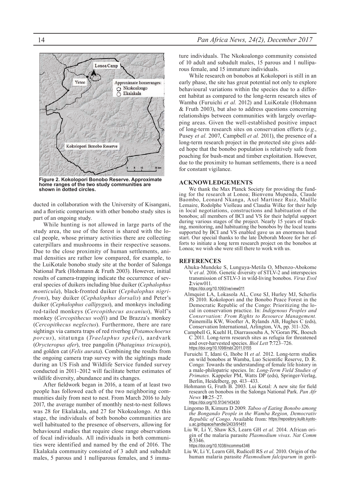

**Figure 2. Kokolopori Bonobo Reserve. Approximate home ranges of the two study communities are shown in dotted circles.**

ducted in collaboration with the University of Kisangani, and a floristic comparison with other bonobo study sites is part of an ongoing study.

While hunting is not allowed in large parts of the study area, the use of the forest is shared with the local people, whose primary activities there are collecting caterpillars and mushrooms in their respective seasons. Due to the close proximity of human settlements, animal densities are rather low compared, for example, to the LuiKotale bonobo study site at the border of Salonga National Park (Hohmann & Fruth 2003). However, initial results of camera-trapping indicate the occurrence of several species of duikers including blue duiker (*Cephalophus monticula*), black-fronted duiker (*Cephalophus nigrifrons*), bay duiker (*Cephalophus dorsalis*) and Peter's duiker (*Cephalophus callipygus*), and monkeys including red-tailed monkeys (*Cercopithecus ascanius*), Wolf's monkey (*Cercopithecus wolfi*) and De Brazza's monkey (*Cercopithecus neglectus*). Furthermore, there are rare sightings via camera traps of red riverhog (*Potamochoerus porcus*), sitatunga (*Traelaphus spekei*), aardvark (*Orycteropus afer*), tree pangolin (*Phataginus tricuspis*), and golden cat (*Felis aurata*). Combining the results from the ongoing camera trap survey with the sightings made during an US Fish and Wildlife Service funded survey conducted in 2011–2012 will facilitate better estimates of wildlife diversity, abundance and its changes.

After fieldwork began in 2016, a team of at least two people has followed each of the two neighboring communities daily from nest to nest. From March 2016 to July 2017, the average number of monthly nest-to-nest follows was 28 for Ekalakala, and 27 for Nkokoalongo. At this stage, the individuals of both bonobo communities are well habituated to the presence of observers, allowing for behavioural studies that require close range observations of focal individuals. All individuals in both communities were identified and named by the end of 2016. The Ekalakala community consisted of 3 adult and subadult males, 5 parous and 1 nulliparous females, and 5 immature individuals. The Nkokoalongo community consisted of 10 adult and subadult males, 15 parous and 1 nulliparous female, and 15 immature individuals.

While research on bonobos at Kokolopori is still in an early phase, the site has great potential not only to explore behavioural variations within the species due to a different habitat as compared to the long-term research sites of Wamba (Furuichi *et al.* 2012) and LuiKotale (Hohmann & Fruth 2003), but also to address questions concerning relationships between communities with largely overlapping areas. Given the well-established positive impact of long-term research sites on conservation efforts (*e.g.*, Pusey *et al.* 2007, Campbell *et al.* 2011), the presence of a long-term research project in the protected site gives added hope that the bonobo population is relatively safe from poaching for bush-meat and timber exploitation. However, due to the proximity to human settlements, there is a need for constant vigilance.

**ACKNOWLEDGEMENTS**<br>We thank the Max Planck Society for providing the funding for the research at Lonoa; Bienvenu Mupenda, Claude Baombo, Leonard Nkanga, Axel Martìnez Ruiz, Maëlle Lemaire, Rodolphe Violleau and Claudia Wilke for their help in local negotiations, constructions and habituation of the bonobos; all members of BCI and VS for their helpful support during various stages of the project. Nearly 15 years of tracking, monitoring, and habituating the bonobos by the local teams supported by BCI and VS enabled gave us an enormous head start. Our special thanks to the late Deborah Moore for her efforts to initiate a long term research project on the bonobos at Lonoa; we wish she were still there to work with us.

#### **REFERENCES**

- Ahuka-Mundeke S, Lunguya-Metila O, Mbenzo-Abokome V *et al.* 2016. Genetic diversity of STLV-2 and interspecies transmission of STLV-3 in wild-living bonobos. *Virus Evol* **2**:view011. https://doi.org/10.1093/ve/vew011
- Almquist LA, Lokasola AL, Coxe SJ, Hurley MJ, Scherlis JS 2010. Kokolopori and the Bonobo Peace Forest in the Democratic Republic of the Congo: Prioritizing the local in conservation practice. In: *Indigenous Peoples and Conservation: From Rights to Resource Management.* Painemilla KW, Woofter A, Rylands AB, Hughes C (eds), Conservation International, Arlington, VA, pp. 311–326.
- Campbell G, Kuehl H, Diarrassouba A, N'Goran PK, Boesch C 2011. Long-term research sites as refugia for threatened and over-harvested species. *Biol Lett* **7**:723–726. https://doi.org/10.1098/rsbl.2011.0155
- Furuichi T, Idani G, Ihobe H *et al.* 2012. Long-term studies on wild bonobos at Wamba, Luo Scientific Reserve, D. R. Congo: Towards the understanding of female life history in a male-philopatric species. In: *Long-Term Field Studies of Primates.* Kappeler PM, Watts DP (eds), Springer-Verlag, Berlin, Heidelberg, pp. 413–433.
- Hohmann G, Fruth B. 2003. Lui Kotal: A new site for field research on bonobos in the Salonga National Park. *Pan Afr News* **10**:25–27. https://doi.org/10.5134/143430
- Lingomo B, Kimura D 2009. *Taboo of Eating Bonobo among the Bongando People in the Wamba Region, Democrativ Republic of Congo.* Available from: https://repository.kulib.kyotou.ac.jp/dspace/handle/2433/91451
- Liu W, Li Y, Shaw KS, Learn GH *et al.* 2014. African origin of the malaria parasite *Plasmodium vivax*. *Nat Comm* **5**:3346.
- https://doi.org/10.1038/ncomms4346
- Liu W, Li Y, Learn GH, Rudicell RS *et al.* 2010. Origin of the human malaria parasite *Plasmodium falciparum* in goril-